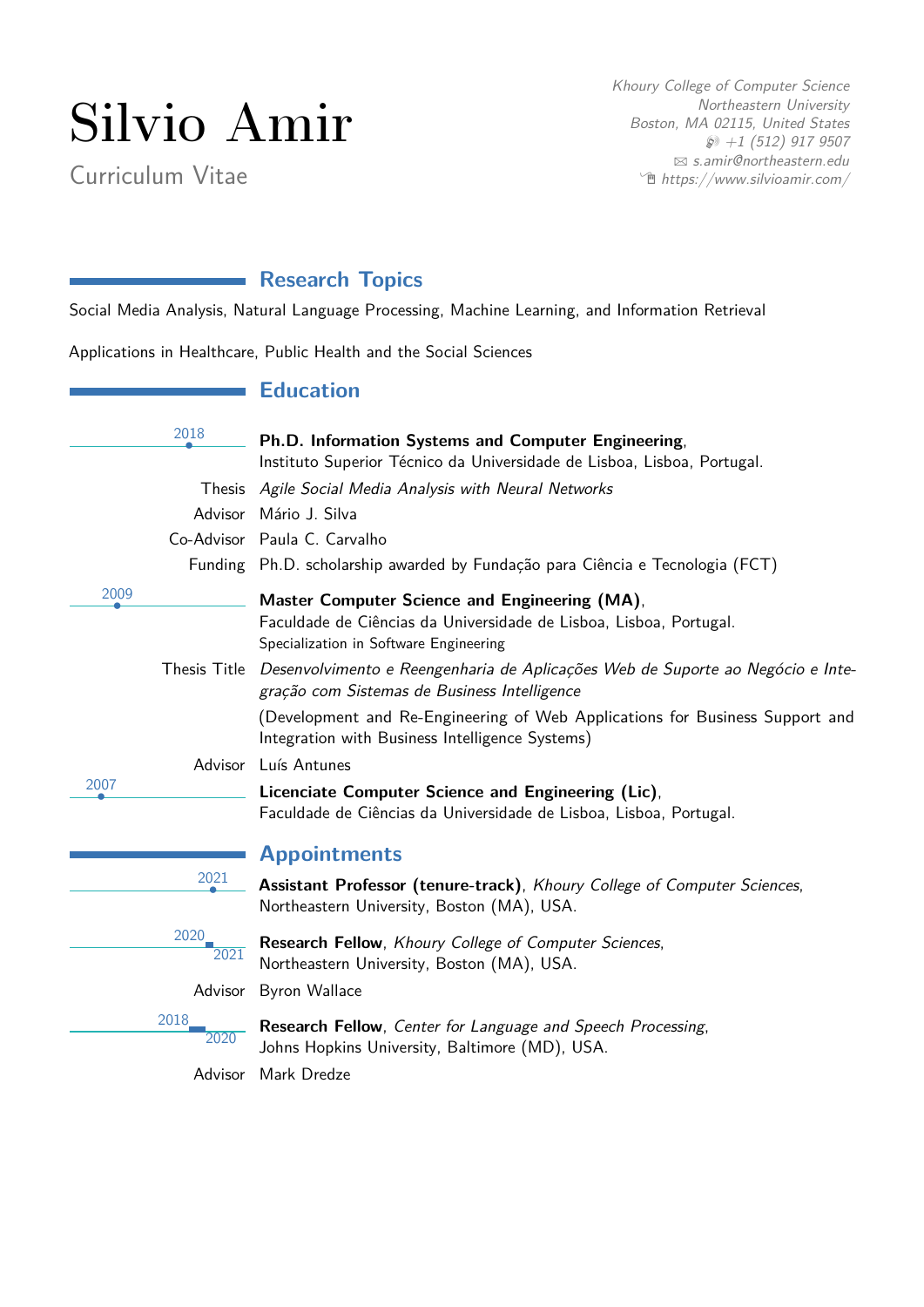# Silvio Amir

Curriculum Vitae

Khoury College of Computer Science Northeastern University Boston, MA 02115, United States  $\wp$  +1 (512) 917 9507 B [s.amir@northeastern.edu](mailto:s.amir@northeastern.edu)  $\hat{\mathbb{E}}$  [https://www.silvioamir.com/](http://https://www.silvioamir.com/)

# **Research Topics**

Social Media Analysis, Natural Language Processing, Machine Learning, and Information Retrieval

Applications in Healthcare, Public Health and the Social Sciences

## **Education**

|      | 2018         |                                                                                                                                             |
|------|--------------|---------------------------------------------------------------------------------------------------------------------------------------------|
|      |              | Ph.D. Information Systems and Computer Engineering,<br>Instituto Superior Técnico da Universidade de Lisboa, Lisboa, Portugal.              |
|      |              |                                                                                                                                             |
|      |              | Thesis Agile Social Media Analysis with Neural Networks                                                                                     |
|      | Advisor      | Mário J. Silva                                                                                                                              |
|      |              | Co-Advisor Paula C. Carvalho                                                                                                                |
|      |              | Funding Ph.D. scholarship awarded by Fundação para Ciência e Tecnologia (FCT)                                                               |
| 2009 |              | Master Computer Science and Engineering (MA),                                                                                               |
|      |              | Faculdade de Ciências da Universidade de Lisboa, Lisboa, Portugal.<br>Specialization in Software Engineering                                |
|      |              | Thesis Title Desenvolvimento e Reengenharia de Aplicações Web de Suporte ao Negócio e Inte-<br>gração com Sistemas de Business Intelligence |
|      |              | (Development and Re-Engineering of Web Applications for Business Support and<br>Integration with Business Intelligence Systems)             |
|      | Advisor      | Luís Antunes                                                                                                                                |
| 2007 |              | Licenciate Computer Science and Engineering (Lic),<br>Faculdade de Ciências da Universidade de Lisboa, Lisboa, Portugal.                    |
|      |              | <b>Appointments</b>                                                                                                                         |
|      | 2021         | Assistant Professor (tenure-track), Khoury College of Computer Sciences,<br>Northeastern University, Boston (MA), USA.                      |
|      | 2020<br>2021 | Research Fellow, Khoury College of Computer Sciences,<br>Northeastern University, Boston (MA), USA.                                         |
|      |              | Advisor Byron Wallace                                                                                                                       |
|      | 2018<br>2020 | Research Fellow, Center for Language and Speech Processing,<br>Johns Hopkins University, Baltimore (MD), USA.                               |

Advisor Mark Dredze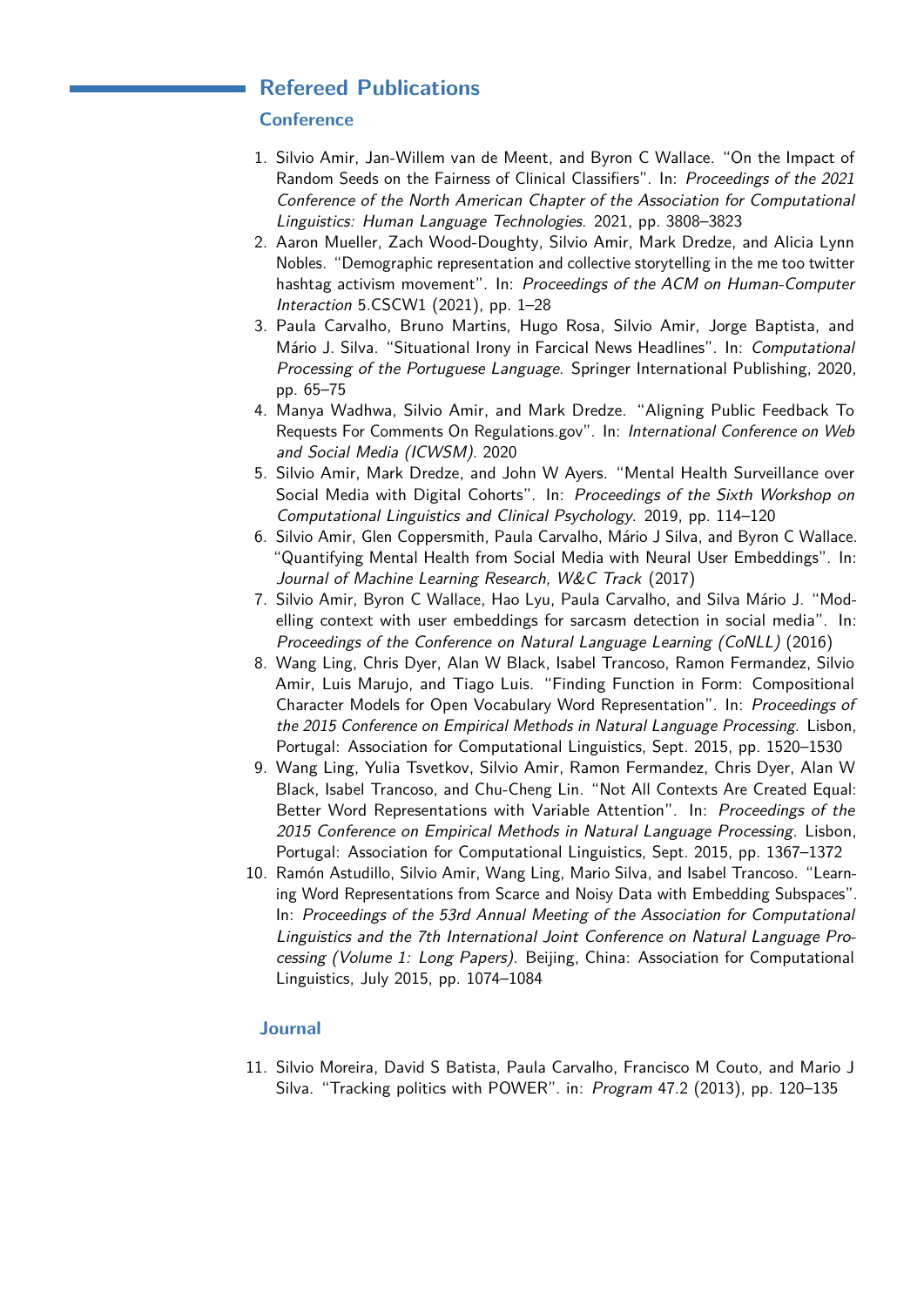## **Refereed Publications**

## **Conference**

- 1. Silvio Amir, Jan-Willem van de Meent, and Byron C Wallace. "On the Impact of Random Seeds on the Fairness of Clinical Classifiers". In: Proceedings of the 2021 Conference of the North American Chapter of the Association for Computational Linguistics: Human Language Technologies. 2021, pp. 3808–3823
- 2. Aaron Mueller, Zach Wood-Doughty, Silvio Amir, Mark Dredze, and Alicia Lynn Nobles. "Demographic representation and collective storytelling in the me too twitter hashtag activism movement". In: Proceedings of the ACM on Human-Computer Interaction 5.CSCW1 (2021), pp. 1–28
- 3. Paula Carvalho, Bruno Martins, Hugo Rosa, Silvio Amir, Jorge Baptista, and Mário J. Silva. "Situational Irony in Farcical News Headlines". In: Computational Processing of the Portuguese Language. Springer International Publishing, 2020, pp. 65–75
- 4. Manya Wadhwa, Silvio Amir, and Mark Dredze. "Aligning Public Feedback To Requests For Comments On Regulations.gov". In: International Conference on Web and Social Media (ICWSM). 2020
- 5. Silvio Amir, Mark Dredze, and John W Ayers. "Mental Health Surveillance over Social Media with Digital Cohorts". In: Proceedings of the Sixth Workshop on Computational Linguistics and Clinical Psychology. 2019, pp. 114–120
- 6. Silvio Amir, Glen Coppersmith, Paula Carvalho, Mário J Silva, and Byron C Wallace. "Quantifying Mental Health from Social Media with Neural User Embeddings". In: Journal of Machine Learning Research, W&C Track (2017)
- 7. Silvio Amir, Byron C Wallace, Hao Lyu, Paula Carvalho, and Silva Mário J. "Modelling context with user embeddings for sarcasm detection in social media". In: Proceedings of the Conference on Natural Language Learning (CoNLL) (2016)
- 8. Wang Ling, Chris Dyer, Alan W Black, Isabel Trancoso, Ramon Fermandez, Silvio Amir, Luis Marujo, and Tiago Luis. "Finding Function in Form: Compositional Character Models for Open Vocabulary Word Representation". In: Proceedings of the 2015 Conference on Empirical Methods in Natural Language Processing. Lisbon, Portugal: Association for Computational Linguistics, Sept. 2015, pp. 1520–1530
- 9. Wang Ling, Yulia Tsvetkov, Silvio Amir, Ramon Fermandez, Chris Dyer, Alan W Black, Isabel Trancoso, and Chu-Cheng Lin. "Not All Contexts Are Created Equal: Better Word Representations with Variable Attention". In: Proceedings of the 2015 Conference on Empirical Methods in Natural Language Processing. Lisbon, Portugal: Association for Computational Linguistics, Sept. 2015, pp. 1367–1372
- 10. Ramón Astudillo, Silvio Amir, Wang Ling, Mario Silva, and Isabel Trancoso. "Learning Word Representations from Scarce and Noisy Data with Embedding Subspaces". In: Proceedings of the 53rd Annual Meeting of the Association for Computational Linguistics and the 7th International Joint Conference on Natural Language Processing (Volume 1: Long Papers). Beijing, China: Association for Computational Linguistics, July 2015, pp. 1074–1084

## **Journal**

11. Silvio Moreira, David S Batista, Paula Carvalho, Francisco M Couto, and Mario J Silva. "Tracking politics with POWER". in: Program 47.2 (2013), pp. 120–135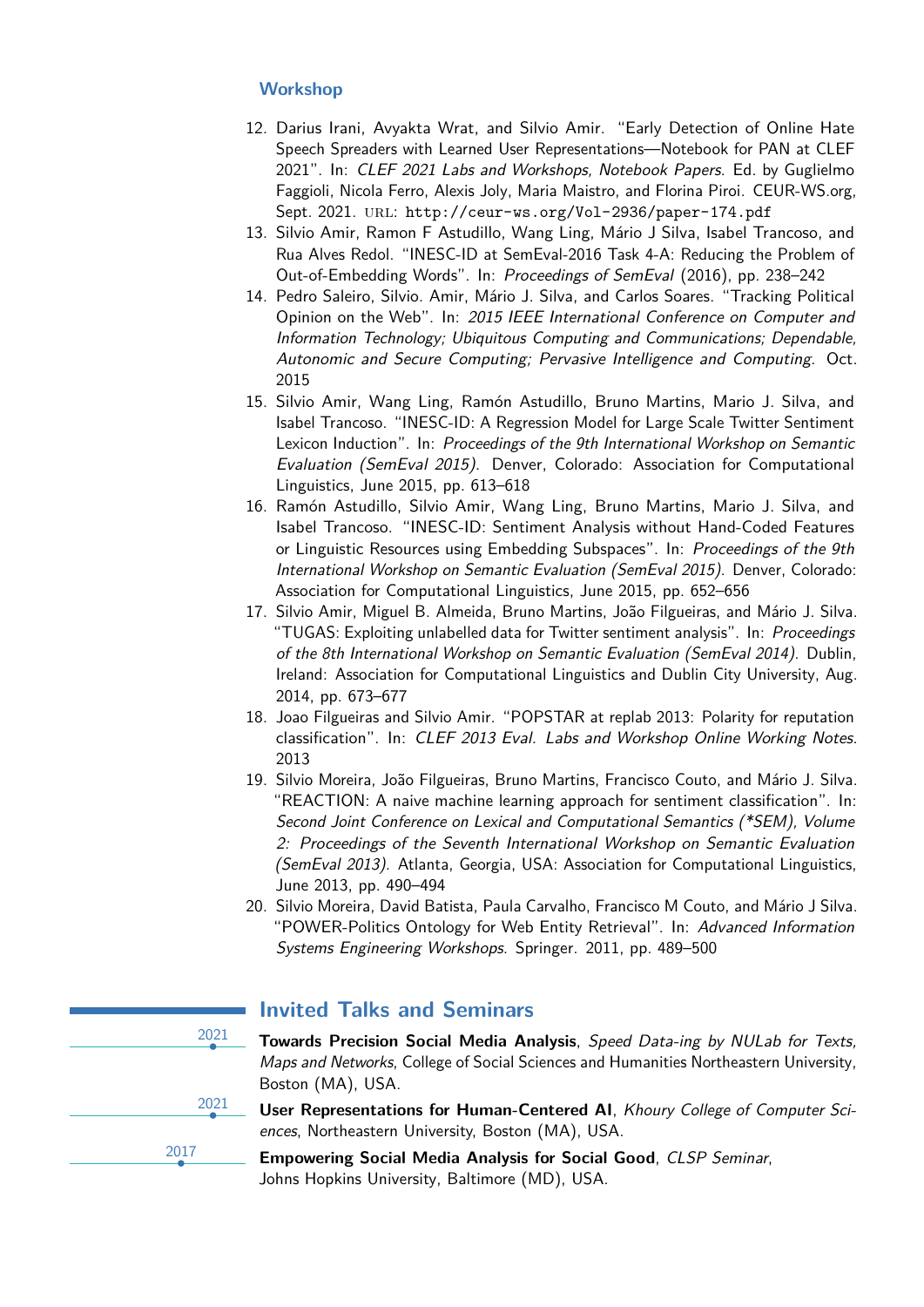## **Workshop**

- 12. Darius Irani, Avyakta Wrat, and Silvio Amir. "Early Detection of Online Hate Speech Spreaders with Learned User Representations—Notebook for PAN at CLEF 2021". In: CLEF 2021 Labs and Workshops, Notebook Papers. Ed. by Guglielmo Faggioli, Nicola Ferro, Alexis Joly, Maria Maistro, and Florina Piroi. CEUR-WS.org, Sept. 2021. url: <http://ceur-ws.org/Vol-2936/paper-174.pdf>
- 13. Silvio Amir, Ramon F Astudillo, Wang Ling, Mário J Silva, Isabel Trancoso, and Rua Alves Redol. "INESC-ID at SemEval-2016 Task 4-A: Reducing the Problem of Out-of-Embedding Words". In: Proceedings of SemEval (2016), pp. 238–242
- 14. Pedro Saleiro, Silvio. Amir, Mário J. Silva, and Carlos Soares. "Tracking Political Opinion on the Web". In: 2015 IEEE International Conference on Computer and Information Technology; Ubiquitous Computing and Communications; Dependable, Autonomic and Secure Computing; Pervasive Intelligence and Computing. Oct. 2015
- 15. Silvio Amir, Wang Ling, Ramón Astudillo, Bruno Martins, Mario J. Silva, and Isabel Trancoso. "INESC-ID: A Regression Model for Large Scale Twitter Sentiment Lexicon Induction". In: Proceedings of the 9th International Workshop on Semantic Evaluation (SemEval 2015). Denver, Colorado: Association for Computational Linguistics, June 2015, pp. 613–618
- 16. Ramón Astudillo, Silvio Amir, Wang Ling, Bruno Martins, Mario J. Silva, and Isabel Trancoso. "INESC-ID: Sentiment Analysis without Hand-Coded Features or Linguistic Resources using Embedding Subspaces". In: Proceedings of the 9th International Workshop on Semantic Evaluation (SemEval 2015). Denver, Colorado: Association for Computational Linguistics, June 2015, pp. 652–656
- 17. Silvio Amir, Miguel B. Almeida, Bruno Martins, João Filgueiras, and Mário J. Silva. "TUGAS: Exploiting unlabelled data for Twitter sentiment analysis". In: Proceedings of the 8th International Workshop on Semantic Evaluation (SemEval 2014). Dublin, Ireland: Association for Computational Linguistics and Dublin City University, Aug. 2014, pp. 673–677
- 18. Joao Filgueiras and Silvio Amir. "POPSTAR at replab 2013: Polarity for reputation classification". In: CLEF 2013 Eval. Labs and Workshop Online Working Notes. 2013
- 19. Silvio Moreira, João Filgueiras, Bruno Martins, Francisco Couto, and Mário J. Silva. "REACTION: A naive machine learning approach for sentiment classification". In: Second Joint Conference on Lexical and Computational Semantics (\*SEM), Volume 2: Proceedings of the Seventh International Workshop on Semantic Evaluation (SemEval 2013). Atlanta, Georgia, USA: Association for Computational Linguistics, June 2013, pp. 490–494
- 20. Silvio Moreira, David Batista, Paula Carvalho, Francisco M Couto, and Mário J Silva. "POWER-Politics Ontology for Web Entity Retrieval". In: Advanced Information Systems Engineering Workshops. Springer. 2011, pp. 489–500



# **Invited Talks and Seminars**

• **Towards Precision Social Media Analysis**, Speed Data-ing by NULab for Texts, Maps and Networks, College of Social Sciences and Humanities Northeastern University, Boston (MA), USA.

• **User Representations for Human-Centered AI**, Khoury College of Computer Sciences, Northeastern University, Boston (MA), USA.

• **Empowering Social Media Analysis for Social Good**, CLSP Seminar, Johns Hopkins University, Baltimore (MD), USA.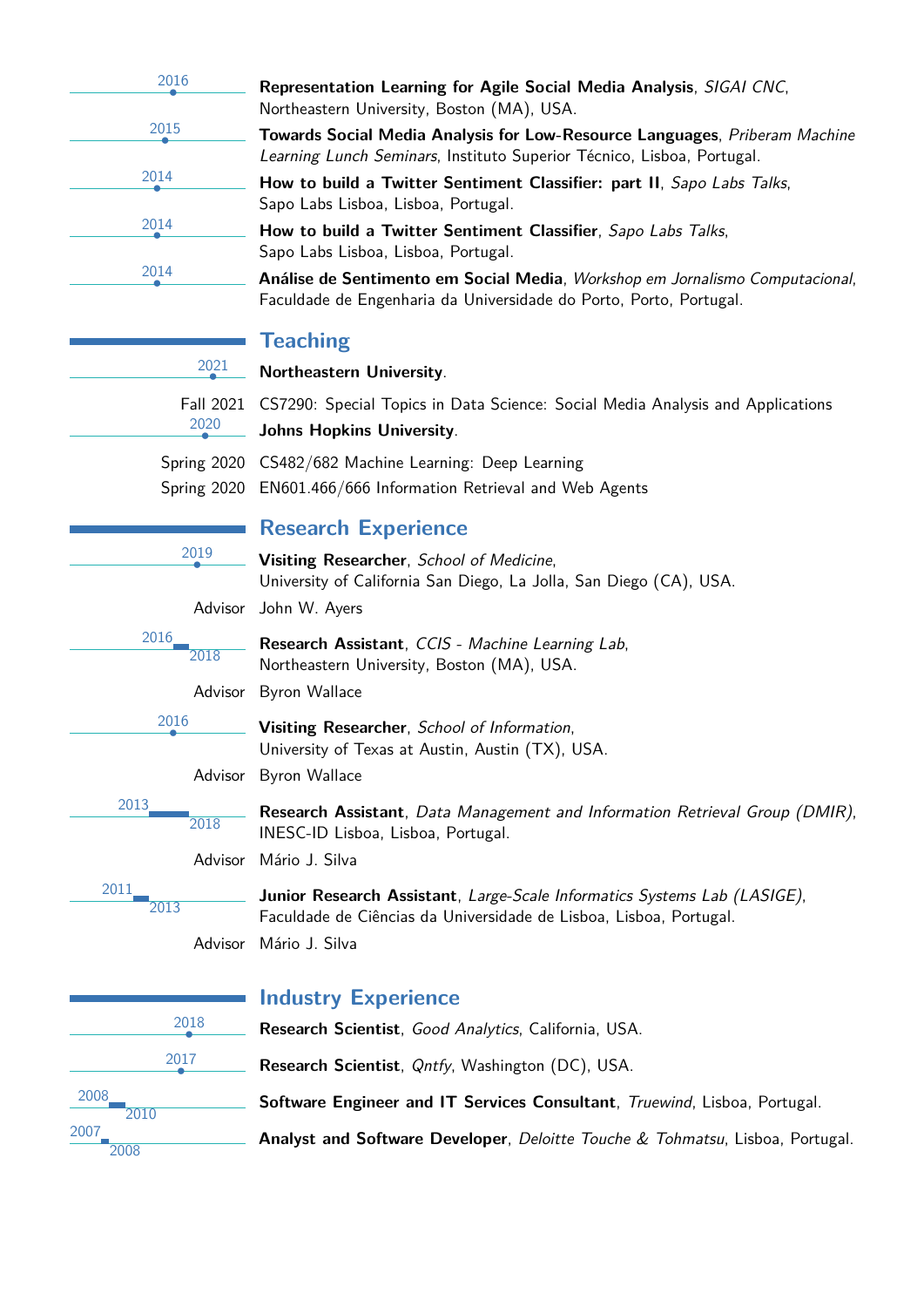| 2016 |  |
|------|--|
|      |  |
|      |  |
| 2014 |  |
| 2014 |  |
| 2014 |  |
| 2015 |  |

• **Representation Learning for Agile Social Media Analysis**, SIGAI CNC, Northeastern University, Boston (MA), USA.

• **Towards Social Media Analysis for Low-Resource Languages**, Priberam Machine Learning Lunch Seminars, Instituto Superior Técnico, Lisboa, Portugal.

• **How to build a Twitter Sentiment Classifier: part II**, Sapo Labs Talks, Sapo Labs Lisboa, Lisboa, Portugal.

• **How to build a Twitter Sentiment Classifier**, Sapo Labs Talks, Sapo Labs Lisboa, Lisboa, Portugal.

• **Análise de Sentimento em Social Media**, Workshop em Jornalismo Computacional, Faculdade de Engenharia da Universidade do Porto, Porto, Portugal.

# **Teaching**

2021 • **Northeastern University**. Fall 2021 CS7290: Special Topics in Data Science: Social Media Analysis and Applications 2020 • **Johns Hopkins University**. Spring 2020 CS482/682 Machine Learning: Deep Learning Spring 2020 EN601.466/666 Information Retrieval and Web Agents

# **Research Experience**

• **Visiting Researcher**, School of Medicine, University of California San Diego, La Jolla, San Diego (CA), USA.

Advisor John W. Ayers

2019

2018

2018

2016

2016

2013

2011

**Research Assistant**, CCIS - Machine Learning Lab, Northeastern University, Boston (MA), USA.

Advisor Byron Wallace

• **Visiting Researcher**, School of Information, University of Texas at Austin, Austin (TX), USA.

Advisor Byron Wallace

**Research Assistant**, Data Management and Information Retrieval Group (DMIR), INESC-ID Lisboa, Lisboa, Portugal.

Advisor Mário J. Silva

**Junior Research Assistant**, Large-Scale Informatics Systems Lab (LASIGE), Faculdade de Ciências da Universidade de Lisboa, Lisboa, Portugal. Advisor Mário J. Silva

2018 2017 2008 2010 2007 2008

2013

# **Industry Experience**

• **Research Scientist**, Good Analytics, California, USA. • **Research Scientist**, Qntfy, Washington (DC), USA. **Software Engineer and IT Services Consultant**, Truewind, Lisboa, Portugal. **Analyst and Software Developer**, Deloitte Touche & Tohmatsu, Lisboa, Portugal.